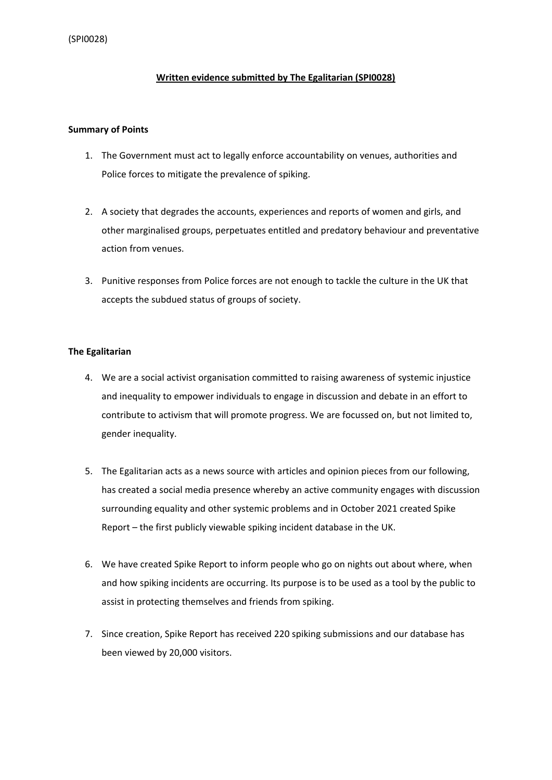## **Written evidence submitted by The Egalitarian (SPI0028)**

### **Summary of Points**

- 1. The Government must act to legally enforce accountability on venues, authorities and Police forces to mitigate the prevalence of spiking.
- 2. A society that degrades the accounts, experiences and reports of women and girls, and other marginalised groups, perpetuates entitled and predatory behaviour and preventative action from venues.
- 3. Punitive responses from Police forces are not enough to tackle the culture in the UK that accepts the subdued status of groups of society.

## **The Egalitarian**

- 4. We are a social activist organisation committed to raising awareness of systemic injustice and inequality to empower individuals to engage in discussion and debate in an effort to contribute to activism that will promote progress. We are focussed on, but not limited to, gender inequality.
- 5. The Egalitarian acts as a news source with articles and opinion pieces from our following, has created a social media presence whereby an active community engages with discussion surrounding equality and other systemic problems and in October 2021 created Spike Report – the first publicly viewable spiking incident database in the UK.
- 6. We have created Spike Report to inform people who go on nights out about where, when and how spiking incidents are occurring. Its purpose is to be used as a tool by the public to assist in protecting themselves and friends from spiking.
- 7. Since creation, Spike Report has received 220 spiking submissions and our database has been viewed by 20,000 visitors.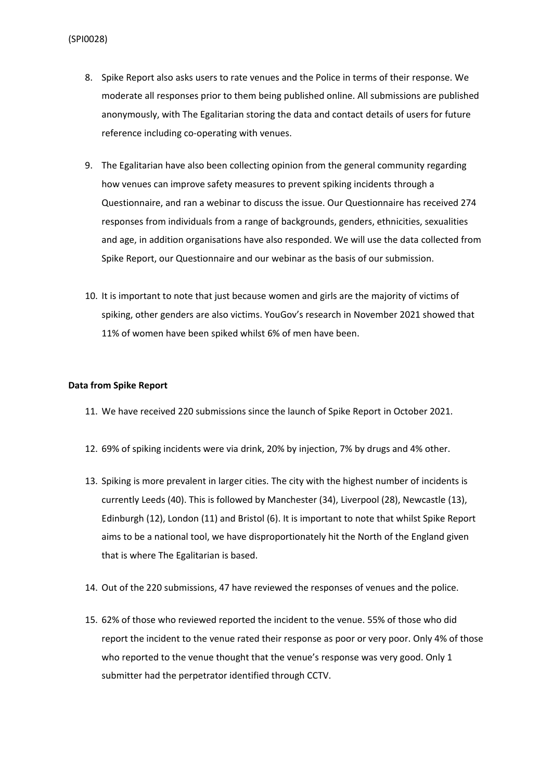- 8. Spike Report also asks users to rate venues and the Police in terms of their response. We moderate all responses prior to them being published online. All submissions are published anonymously, with The Egalitarian storing the data and contact details of users for future reference including co-operating with venues.
- 9. The Egalitarian have also been collecting opinion from the general community regarding how venues can improve safety measures to prevent spiking incidents through a Questionnaire, and ran a webinar to discuss the issue. Our Questionnaire has received 274 responses from individuals from a range of backgrounds, genders, ethnicities, sexualities and age, in addition organisations have also responded. We will use the data collected from Spike Report, our Questionnaire and our webinar as the basis of our submission.
- 10. It is important to note that just because women and girls are the majority of victims of spiking, other genders are also victims. YouGov's research in November 2021 showed that 11% of women have been spiked whilst 6% of men have been.

#### **Data from Spike Report**

- 11. We have received 220 submissions since the launch of Spike Report in October 2021.
- 12. 69% of spiking incidents were via drink, 20% by injection, 7% by drugs and 4% other.
- 13. Spiking is more prevalent in larger cities. The city with the highest number of incidents is currently Leeds (40). This is followed by Manchester (34), Liverpool (28), Newcastle (13), Edinburgh (12), London (11) and Bristol (6). It is important to note that whilst Spike Report aims to be a national tool, we have disproportionately hit the North of the England given that is where The Egalitarian is based.
- 14. Out of the 220 submissions, 47 have reviewed the responses of venues and the police.
- 15. 62% of those who reviewed reported the incident to the venue. 55% of those who did report the incident to the venue rated their response as poor or very poor. Only 4% of those who reported to the venue thought that the venue's response was very good. Only 1 submitter had the perpetrator identified through CCTV.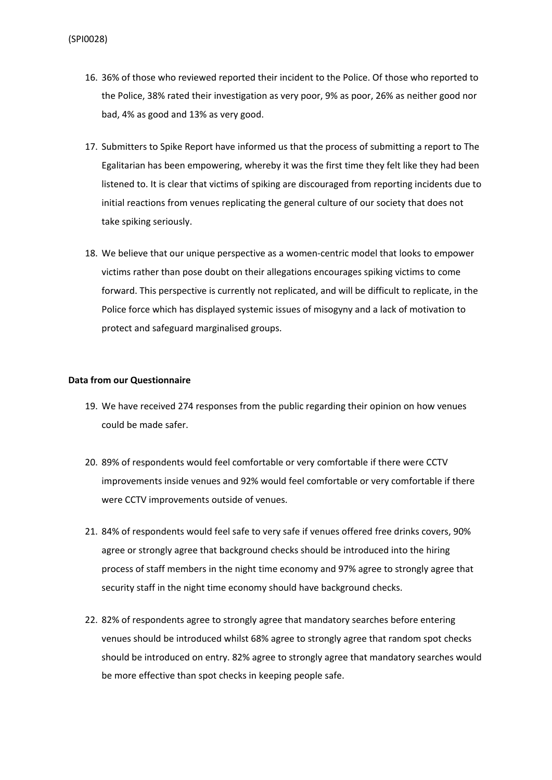- 16. 36% of those who reviewed reported their incident to the Police. Of those who reported to the Police, 38% rated their investigation as very poor, 9% as poor, 26% as neither good nor bad, 4% as good and 13% as very good.
- 17. Submitters to Spike Report have informed us that the process of submitting a report to The Egalitarian has been empowering, whereby it was the first time they felt like they had been listened to. It is clear that victims of spiking are discouraged from reporting incidents due to initial reactions from venues replicating the general culture of our society that does not take spiking seriously.
- 18. We believe that our unique perspective as a women-centric model that looks to empower victims rather than pose doubt on their allegations encourages spiking victims to come forward. This perspective is currently not replicated, and will be difficult to replicate, in the Police force which has displayed systemic issues of misogyny and a lack of motivation to protect and safeguard marginalised groups.

### **Data from our Questionnaire**

- 19. We have received 274 responses from the public regarding their opinion on how venues could be made safer.
- 20. 89% of respondents would feel comfortable or very comfortable if there were CCTV improvements inside venues and 92% would feel comfortable or very comfortable if there were CCTV improvements outside of venues.
- 21. 84% of respondents would feel safe to very safe if venues offered free drinks covers, 90% agree or strongly agree that background checks should be introduced into the hiring process of staff members in the night time economy and 97% agree to strongly agree that security staff in the night time economy should have background checks.
- 22. 82% of respondents agree to strongly agree that mandatory searches before entering venues should be introduced whilst 68% agree to strongly agree that random spot checks should be introduced on entry. 82% agree to strongly agree that mandatory searches would be more effective than spot checks in keeping people safe.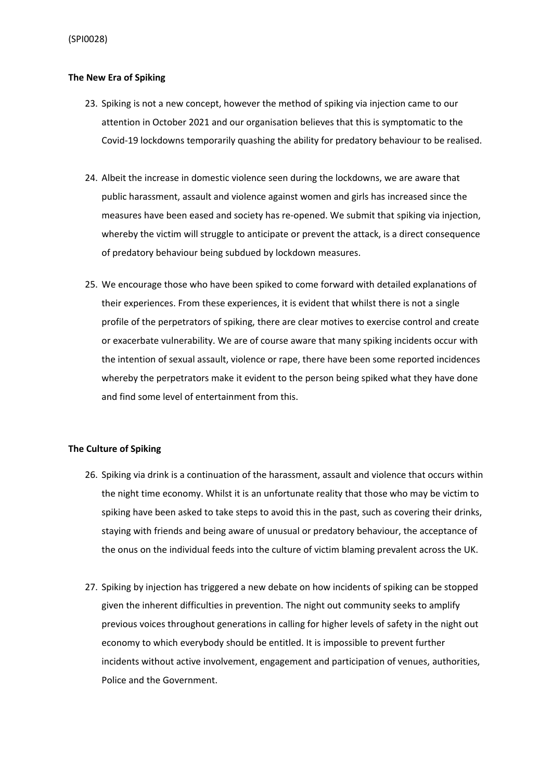## **The New Era of Spiking**

- 23. Spiking is not a new concept, however the method of spiking via injection came to our attention in October 2021 and our organisation believes that this is symptomatic to the Covid-19 lockdowns temporarily quashing the ability for predatory behaviour to be realised.
- 24. Albeit the increase in domestic violence seen during the lockdowns, we are aware that public harassment, assault and violence against women and girls has increased since the measures have been eased and society has re-opened. We submit that spiking via injection, whereby the victim will struggle to anticipate or prevent the attack, is a direct consequence of predatory behaviour being subdued by lockdown measures.
- 25. We encourage those who have been spiked to come forward with detailed explanations of their experiences. From these experiences, it is evident that whilst there is not a single profile of the perpetrators of spiking, there are clear motives to exercise control and create or exacerbate vulnerability. We are of course aware that many spiking incidents occur with the intention of sexual assault, violence or rape, there have been some reported incidences whereby the perpetrators make it evident to the person being spiked what they have done and find some level of entertainment from this.

## **The Culture of Spiking**

- 26. Spiking via drink is a continuation of the harassment, assault and violence that occurs within the night time economy. Whilst it is an unfortunate reality that those who may be victim to spiking have been asked to take steps to avoid this in the past, such as covering their drinks, staying with friends and being aware of unusual or predatory behaviour, the acceptance of the onus on the individual feeds into the culture of victim blaming prevalent across the UK.
- 27. Spiking by injection has triggered a new debate on how incidents of spiking can be stopped given the inherent difficulties in prevention. The night out community seeks to amplify previous voices throughout generations in calling for higher levels of safety in the night out economy to which everybody should be entitled. It is impossible to prevent further incidents without active involvement, engagement and participation of venues, authorities, Police and the Government.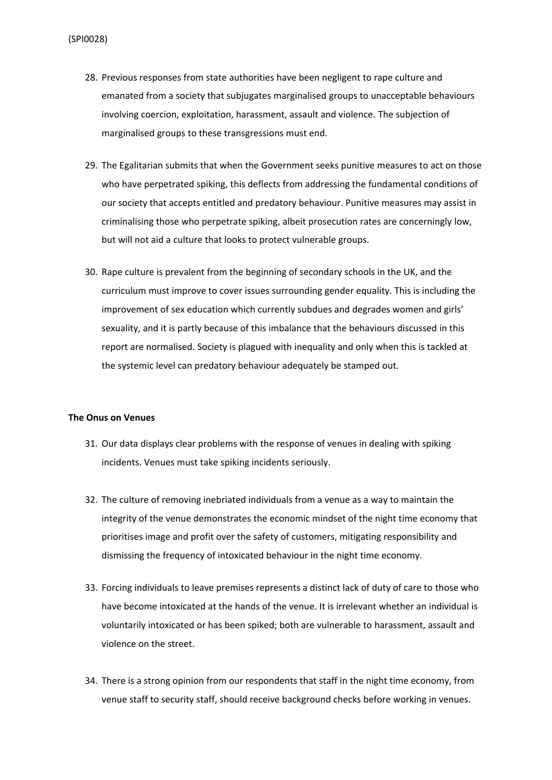- 28. Previous responses from state authorities have been negligent to rape culture and emanated from a society that subjugates marginalised groups to unacceptable behaviours involving coercion, exploitation, harassment, assault and violence. The subjection of marginalised groups to these transgressions must end.
- 29. The Egalitarian submits that when the Government seeks punitive measures to act on those who have perpetrated spiking, this deflects from addressing the fundamental conditions of our society that accepts entitled and predatory behaviour. Punitive measures may assist in criminalising those who perpetrate spiking, albeit prosecution rates are concerningly low, but will not aid a culture that looks to protect vulnerable groups.
- 30. Rape culture is prevalent from the beginning of secondary schools in the UK, and the curriculum must improve to cover issues surrounding gender equality. This is including the improvement of sex education which currently subdues and degrades women and girls' sexuality, and it is partly because of this imbalance that the behaviours discussed in this report are normalised. Society is plagued with inequality and only when this is tackled at the systemic level can predatory behaviour adequately be stamped out.

### **The Onus on Venues**

- 31. Our data displays clear problems with the response of venues in dealing with spiking incidents. Venues must take spiking incidents seriously.
- 32. The culture of removing inebriated individuals from a venue as a way to maintain the integrity of the venue demonstrates the economic mindset of the night time economy that prioritises image and profit over the safety of customers, mitigating responsibility and dismissing the frequency of intoxicated behaviour in the night time economy.
- 33. Forcing individuals to leave premises represents a distinct lack of duty of care to those who have become intoxicated at the hands of the venue. It is irrelevant whether an individual is voluntarily intoxicated or has been spiked; both are vulnerable to harassment, assault and violence on the street.
- 34. There is a strong opinion from our respondents that staff in the night time economy, from venue staff to security staff, should receive background checks before working in venues.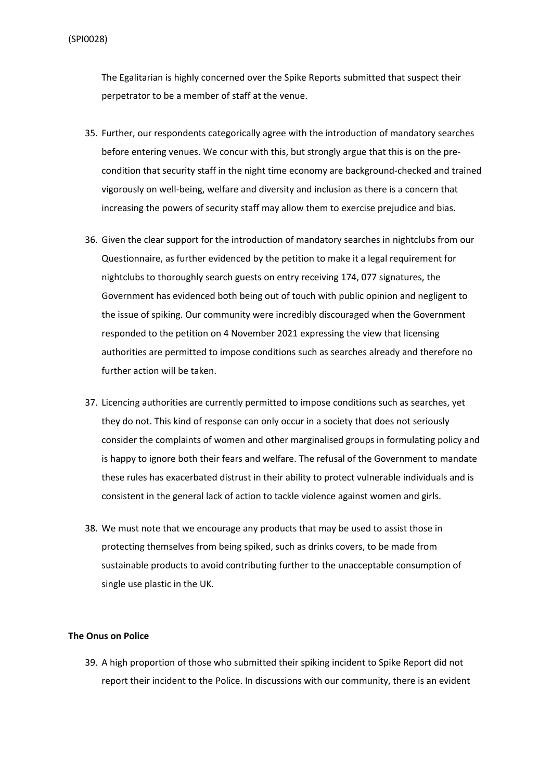The Egalitarian is highly concerned over the Spike Reports submitted that suspect their perpetrator to be a member of staff at the venue.

- 35. Further, our respondents categorically agree with the introduction of mandatory searches before entering venues. We concur with this, but strongly argue that this is on the precondition that security staff in the night time economy are background-checked and trained vigorously on well-being, welfare and diversity and inclusion as there is a concern that increasing the powers of security staff may allow them to exercise prejudice and bias.
- 36. Given the clear support for the introduction of mandatory searches in nightclubs from our Questionnaire, as further evidenced by the petition to make it a legal requirement for nightclubs to thoroughly search guests on entry receiving 174, 077 signatures, the Government has evidenced both being out of touch with public opinion and negligent to the issue of spiking. Our community were incredibly discouraged when the Government responded to the petition on 4 November 2021 expressing the view that licensing authorities are permitted to impose conditions such as searches already and therefore no further action will be taken.
- 37. Licencing authorities are currently permitted to impose conditions such as searches, yet they do not. This kind of response can only occur in a society that does not seriously consider the complaints of women and other marginalised groups in formulating policy and is happy to ignore both their fears and welfare. The refusal of the Government to mandate these rules has exacerbated distrust in their ability to protect vulnerable individuals and is consistent in the general lack of action to tackle violence against women and girls.
- 38. We must note that we encourage any products that may be used to assist those in protecting themselves from being spiked, such as drinks covers, to be made from sustainable products to avoid contributing further to the unacceptable consumption of single use plastic in the UK.

## **The Onus on Police**

39. A high proportion of those who submitted their spiking incident to Spike Report did not report their incident to the Police. In discussions with our community, there is an evident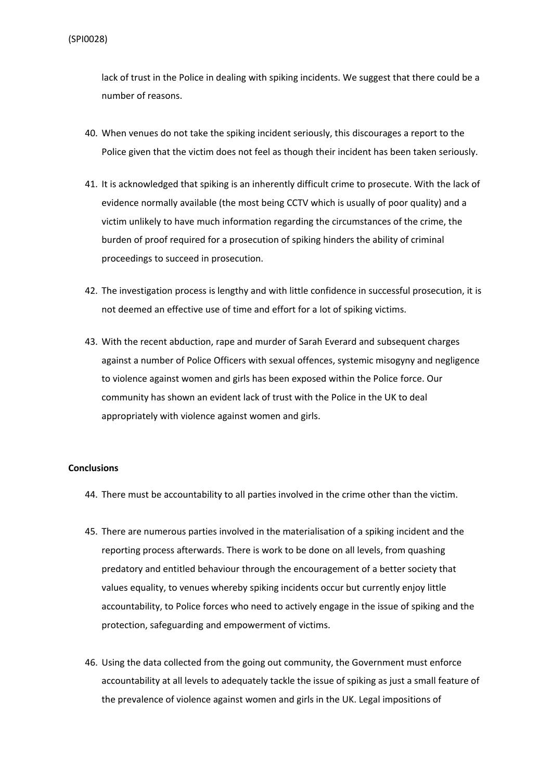lack of trust in the Police in dealing with spiking incidents. We suggest that there could be a number of reasons.

- 40. When venues do not take the spiking incident seriously, this discourages a report to the Police given that the victim does not feel as though their incident has been taken seriously.
- 41. It is acknowledged that spiking is an inherently difficult crime to prosecute. With the lack of evidence normally available (the most being CCTV which is usually of poor quality) and a victim unlikely to have much information regarding the circumstances of the crime, the burden of proof required for a prosecution of spiking hinders the ability of criminal proceedings to succeed in prosecution.
- 42. The investigation process is lengthy and with little confidence in successful prosecution, it is not deemed an effective use of time and effort for a lot of spiking victims.
- 43. With the recent abduction, rape and murder of Sarah Everard and subsequent charges against a number of Police Officers with sexual offences, systemic misogyny and negligence to violence against women and girls has been exposed within the Police force. Our community has shown an evident lack of trust with the Police in the UK to deal appropriately with violence against women and girls.

### **Conclusions**

- 44. There must be accountability to all parties involved in the crime other than the victim.
- 45. There are numerous parties involved in the materialisation of a spiking incident and the reporting process afterwards. There is work to be done on all levels, from quashing predatory and entitled behaviour through the encouragement of a better society that values equality, to venues whereby spiking incidents occur but currently enjoy little accountability, to Police forces who need to actively engage in the issue of spiking and the protection, safeguarding and empowerment of victims.
- 46. Using the data collected from the going out community, the Government must enforce accountability at all levels to adequately tackle the issue of spiking as just a small feature of the prevalence of violence against women and girls in the UK. Legal impositions of